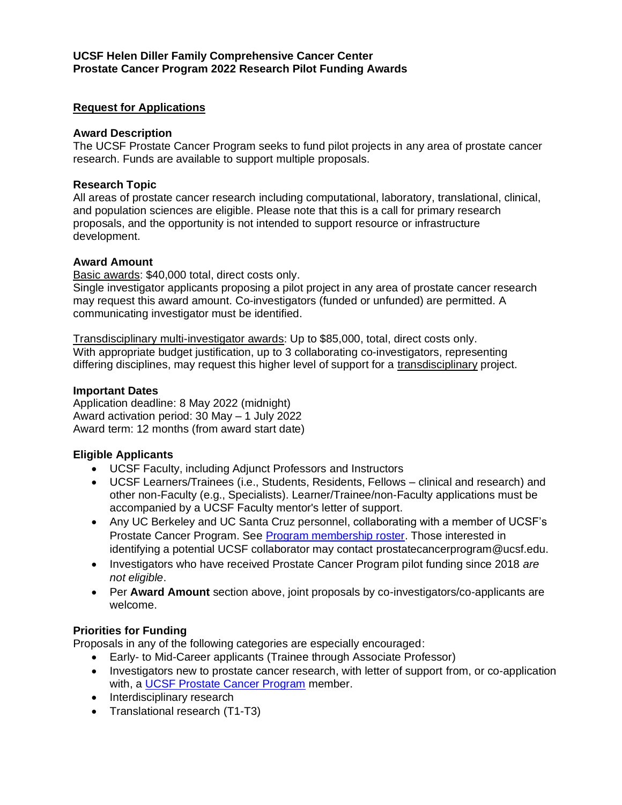## **Request for Applications**

#### **Award Description**

The UCSF Prostate Cancer Program seeks to fund pilot projects in any area of prostate cancer research. Funds are available to support multiple proposals.

## **Research Topic**

All areas of prostate cancer research including computational, laboratory, translational, clinical, and population sciences are eligible. Please note that this is a call for primary research proposals, and the opportunity is not intended to support resource or infrastructure development.

## **Award Amount**

Basic awards: \$40,000 total, direct costs only.

Single investigator applicants proposing a pilot project in any area of prostate cancer research may request this award amount. Co-investigators (funded or unfunded) are permitted. A communicating investigator must be identified.

Transdisciplinary multi-investigator awards: Up to \$85,000, total, direct costs only. With appropriate budget justification, up to 3 collaborating co-investigators, representing differing disciplines, may request this higher level of support for a transdisciplinary project.

#### **Important Dates**

Application deadline: 8 May 2022 (midnight) Award activation period: 30 May – 1 July 2022 Award term: 12 months (from award start date)

## **Eligible Applicants**

- UCSF Faculty, including Adjunct Professors and Instructors
- UCSF Learners/Trainees (i.e., Students, Residents, Fellows clinical and research) and other non-Faculty (e.g., Specialists). Learner/Trainee/non-Faculty applications must be accompanied by a UCSF Faculty mentor's letter of support.
- Any UC Berkeley and UC Santa Cruz personnel, collaborating with a member of UCSF's Prostate Cancer Program. See [Program membership roster.](https://cancer.ucsf.edu/research/programs/prostate) Those interested in identifying a potential UCSF collaborator may contact prostatecancerprogram@ucsf.edu.
- Investigators who have received Prostate Cancer Program pilot funding since 2018 *are not eligible*.
- Per **Award Amount** section above, joint proposals by co-investigators/co-applicants are welcome.

# **Priorities for Funding**

Proposals in any of the following categories are especially encouraged:

- Early- to Mid-Career applicants (Trainee through Associate Professor)
- Investigators new to prostate cancer research, with letter of support from, or co-application with, a [UCSF Prostate Cancer Program](https://cancer.ucsf.edu/research/programs/prostate) member.
- Interdisciplinary research
- Translational research (T1-T3)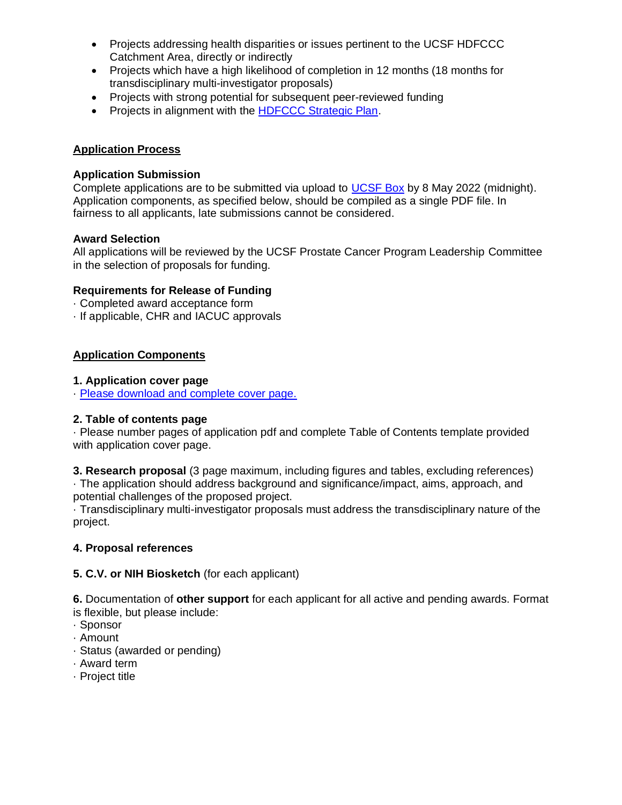- Projects addressing health disparities or issues pertinent to the UCSF HDFCCC Catchment Area, directly or indirectly
- Projects which have a high likelihood of completion in 12 months (18 months for transdisciplinary multi-investigator proposals)
- Projects with strong potential for subsequent peer-reviewed funding
- Projects in alignment with the [HDFCCC Strategic Plan.](https://cancer.ucsf.edu/strategic-plan-cancer-research-2030)

### **Application Process**

#### **Application Submission**

Complete applications are to be submitted via upload to [UCSF Box](https://ucsf.app.box.com/f/b1d2b7a92e5340619edfccf0425cbabf) by 8 May 2022 (midnight). Application components, as specified below, should be compiled as a single PDF file. In fairness to all applicants, late submissions cannot be considered.

#### **Award Selection**

All applications will be reviewed by the UCSF Prostate Cancer Program Leadership Committee in the selection of proposals for funding.

#### **Requirements for Release of Funding**

- · Completed award acceptance form
- · If applicable, CHR and IACUC approvals

## **Application Components**

#### **1. Application cover page**

· [Please download and complete cover page.](https://cancer.ucsf.edu/documents/2022-PCP-application.pdf?attachment)

#### **2. Table of contents page**

· Please number pages of application pdf and complete Table of Contents template provided with application cover page.

**3. Research proposal** (3 page maximum, including figures and tables, excluding references) · The application should address background and significance/impact, aims, approach, and potential challenges of the proposed project.

· Transdisciplinary multi-investigator proposals must address the transdisciplinary nature of the project.

## **4. Proposal references**

## **5. C.V. or NIH Biosketch** (for each applicant)

**6.** Documentation of **other support** for each applicant for all active and pending awards. Format is flexible, but please include:

- · Sponsor
- · Amount
- · Status (awarded or pending)
- · Award term
- · Project title